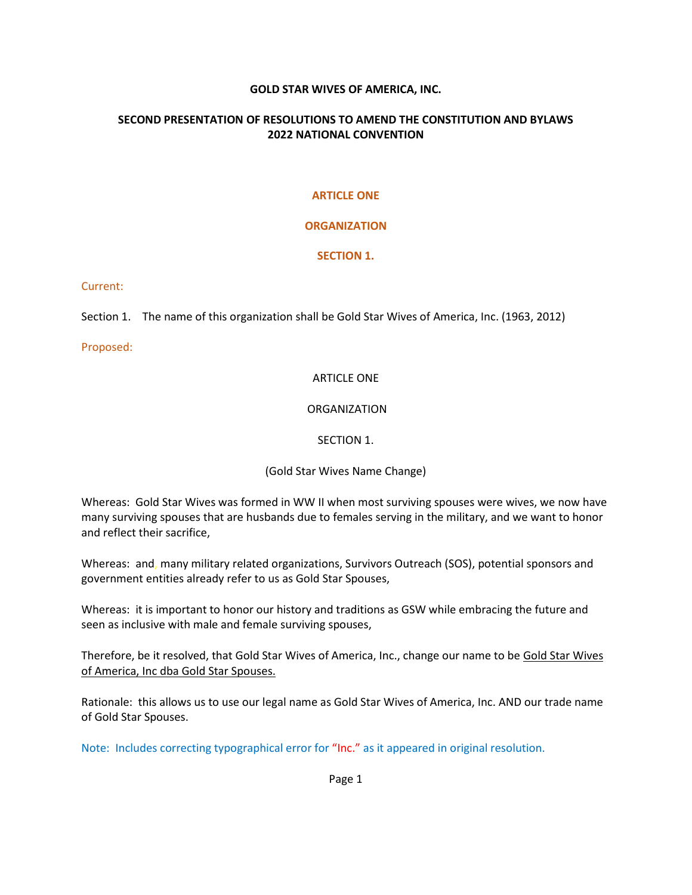### **GOLD STAR WIVES OF AMERICA, INC.**

### **SECOND PRESENTATION OF RESOLUTIONS TO AMEND THE CONSTITUTION AND BYLAWS 2022 NATIONAL CONVENTION**

#### **ARTICLE ONE**

### **ORGANIZATION**

#### **SECTION 1.**

#### Current:

Section 1. The name of this organization shall be Gold Star Wives of America, Inc. (1963, 2012)

Proposed:

#### ARTICLE ONE

#### ORGANIZATION

#### SECTION 1.

### (Gold Star Wives Name Change)

Whereas: Gold Star Wives was formed in WW II when most surviving spouses were wives, we now have many surviving spouses that are husbands due to females serving in the military, and we want to honor and reflect their sacrifice,

Whereas: and, many military related organizations, Survivors Outreach (SOS), potential sponsors and government entities already refer to us as Gold Star Spouses,

Whereas: it is important to honor our history and traditions as GSW while embracing the future and seen as inclusive with male and female surviving spouses,

Therefore, be it resolved, that Gold Star Wives of America, Inc., change our name to be Gold Star Wives of America, Inc dba Gold Star Spouses.

Rationale: this allows us to use our legal name as Gold Star Wives of America, Inc. AND our trade name of Gold Star Spouses.

Note: Includes correcting typographical error for "Inc." as it appeared in original resolution.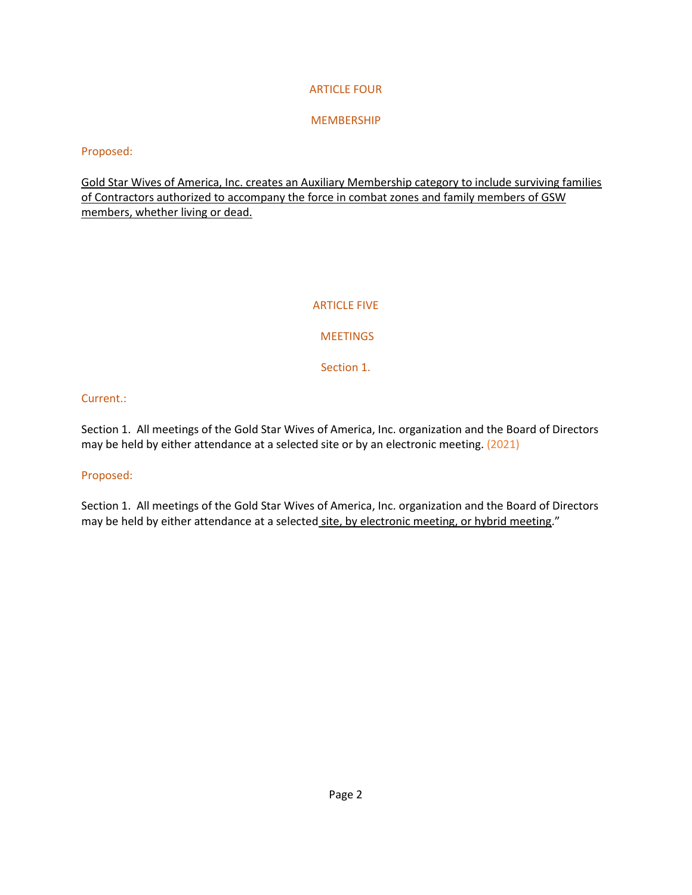# ARTICLE FOUR

# MEMBERSHIP

### Proposed:

Gold Star Wives of America, Inc. creates an Auxiliary Membership category to include surviving families of Contractors authorized to accompany the force in combat zones and family members of GSW members, whether living or dead.

### ARTICLE FIVE

# **MEETINGS**

Section 1.

# Current.:

Section 1. All meetings of the Gold Star Wives of America, Inc. organization and the Board of Directors may be held by either attendance at a selected site or by an electronic meeting. (2021)

### Proposed:

Section 1. All meetings of the Gold Star Wives of America, Inc. organization and the Board of Directors may be held by either attendance at a selected site, by electronic meeting, or hybrid meeting."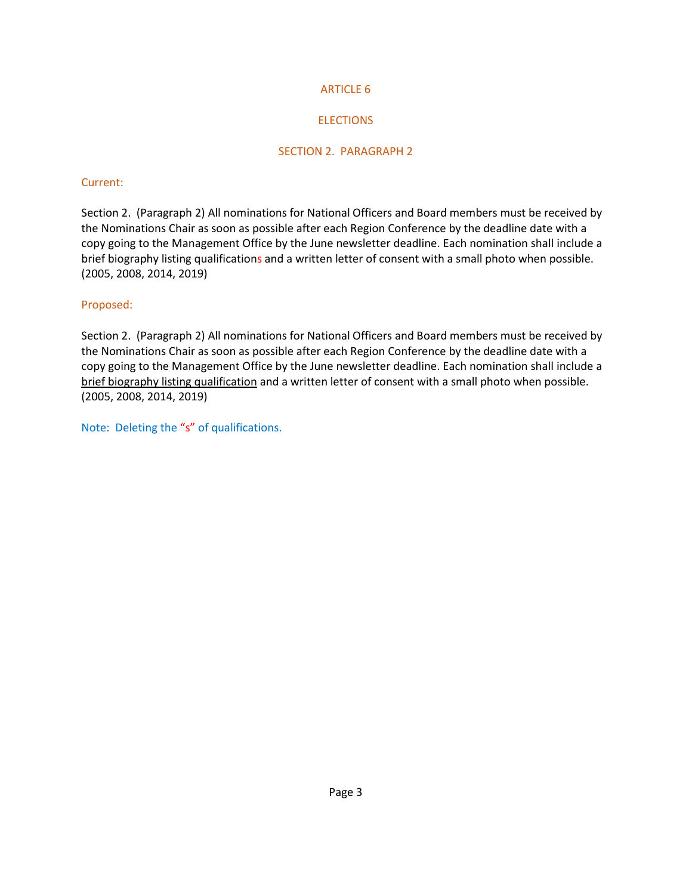# ARTICLE 6

# **ELECTIONS**

# SECTION 2. PARAGRAPH 2

### Current:

Section 2. (Paragraph 2) All nominations for National Officers and Board members must be received by the Nominations Chair as soon as possible after each Region Conference by the deadline date with a copy going to the Management Office by the June newsletter deadline. Each nomination shall include a brief biography listing qualifications and a written letter of consent with a small photo when possible. (2005, 2008, 2014, 2019)

# Proposed:

Section 2. (Paragraph 2) All nominations for National Officers and Board members must be received by the Nominations Chair as soon as possible after each Region Conference by the deadline date with a copy going to the Management Office by the June newsletter deadline. Each nomination shall include a brief biography listing qualification and a written letter of consent with a small photo when possible. (2005, 2008, 2014, 2019)

Note: Deleting the "s" of qualifications.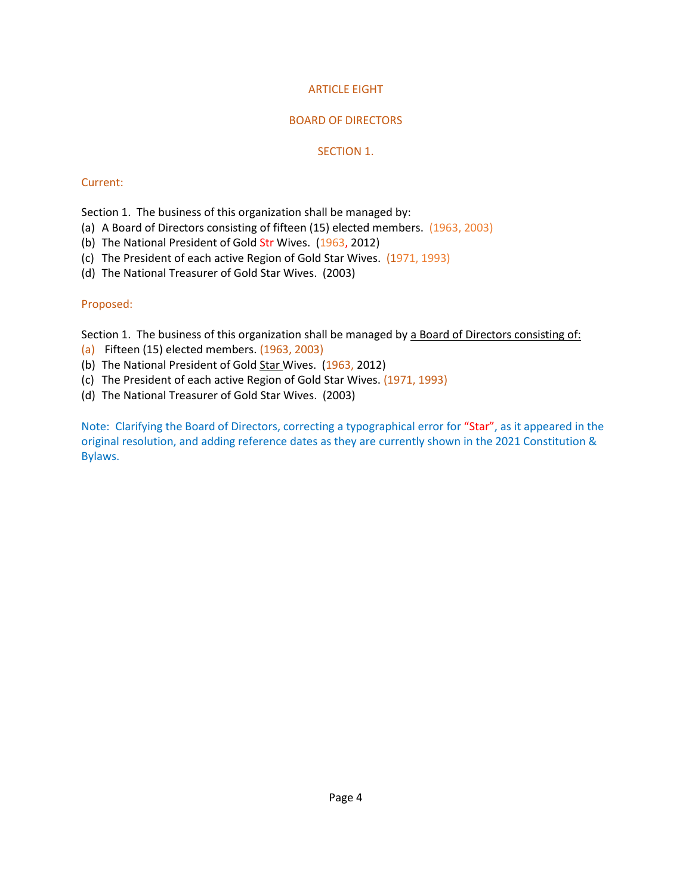# ARTICLE EIGHT

# BOARD OF DIRECTORS

### SECTION 1.

### Current:

Section 1. The business of this organization shall be managed by:

- (a) A Board of Directors consisting of fifteen (15) elected members. (1963, 2003)
- (b) The National President of Gold Str Wives. (1963, 2012)
- (c) The President of each active Region of Gold Star Wives. (1971, 1993)
- (d) The National Treasurer of Gold Star Wives. (2003)

# Proposed:

Section 1. The business of this organization shall be managed by a Board of Directors consisting of:

- (a) Fifteen (15) elected members. (1963, 2003)
- (b) The National President of Gold Star Wives. (1963, 2012)
- (c) The President of each active Region of Gold Star Wives. (1971, 1993)
- (d) The National Treasurer of Gold Star Wives. (2003)

Note: Clarifying the Board of Directors, correcting a typographical error for "Star", as it appeared in the original resolution, and adding reference dates as they are currently shown in the 2021 Constitution & Bylaws.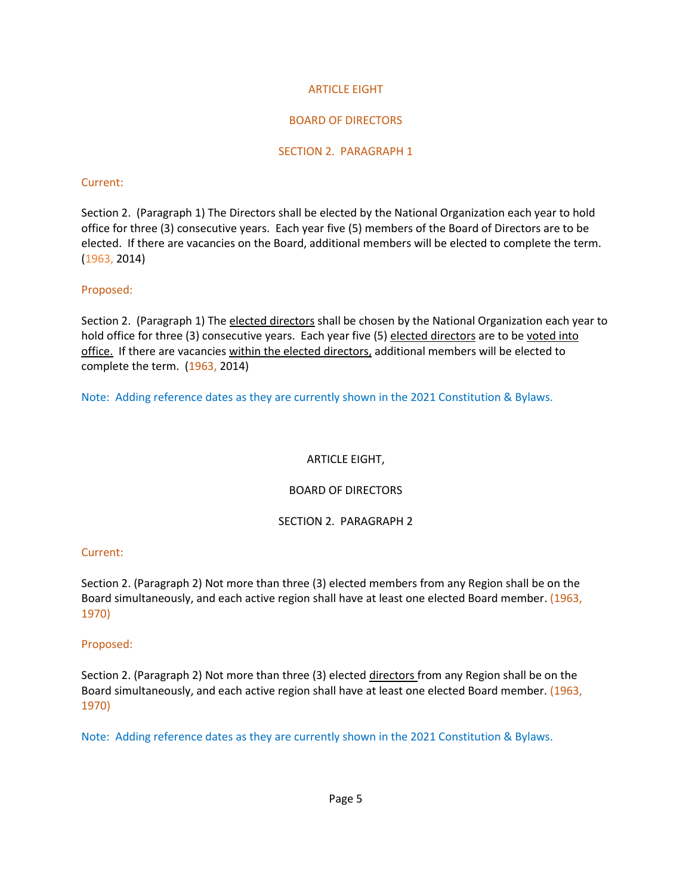# ARTICLE EIGHT

# BOARD OF DIRECTORS

### SECTION 2. PARAGRAPH 1

### Current:

Section 2. (Paragraph 1) The Directors shall be elected by the National Organization each year to hold office for three (3) consecutive years. Each year five (5) members of the Board of Directors are to be elected. If there are vacancies on the Board, additional members will be elected to complete the term. (1963, 2014)

# Proposed:

Section 2. (Paragraph 1) The elected directors shall be chosen by the National Organization each year to hold office for three (3) consecutive years. Each year five (5) elected directors are to be voted into office. If there are vacancies within the elected directors, additional members will be elected to complete the term. (1963, 2014)

Note: Adding reference dates as they are currently shown in the 2021 Constitution & Bylaws.

# ARTICLE EIGHT,

# BOARD OF DIRECTORS

### SECTION 2. PARAGRAPH 2

### Current:

Section 2. (Paragraph 2) Not more than three (3) elected members from any Region shall be on the Board simultaneously, and each active region shall have at least one elected Board member. (1963, 1970)

### Proposed:

Section 2. (Paragraph 2) Not more than three (3) elected directors from any Region shall be on the Board simultaneously, and each active region shall have at least one elected Board member. (1963, 1970)

Note: Adding reference dates as they are currently shown in the 2021 Constitution & Bylaws.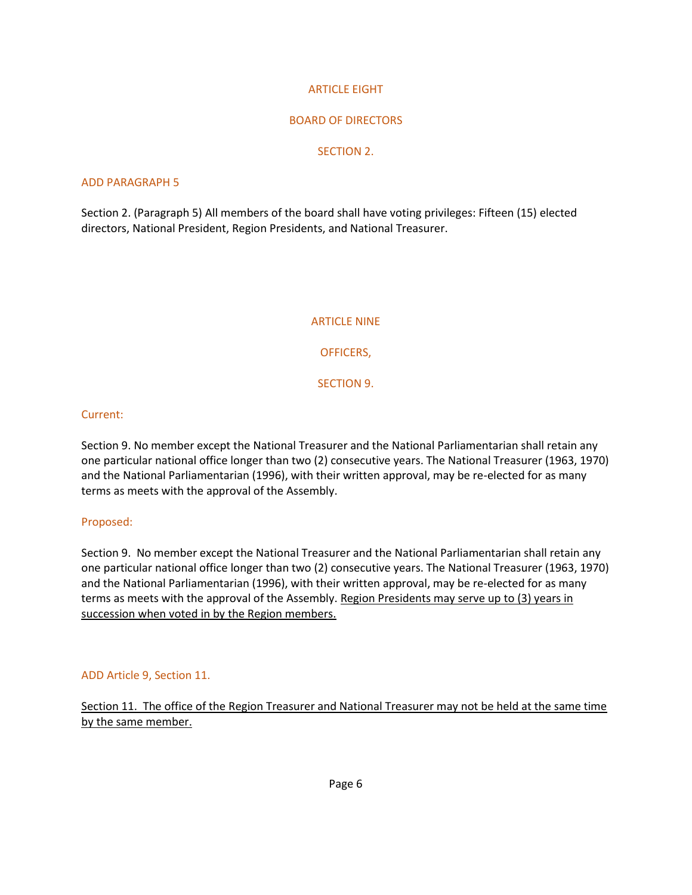### ARTICLE EIGHT

### BOARD OF DIRECTORS

### SECTION 2.

### ADD PARAGRAPH 5

Section 2. (Paragraph 5) All members of the board shall have voting privileges: Fifteen (15) elected directors, National President, Region Presidents, and National Treasurer.

#### ARTICLE NINE

OFFICERS,

SECTION 9.

### Current:

Section 9. No member except the National Treasurer and the National Parliamentarian shall retain any one particular national office longer than two (2) consecutive years. The National Treasurer (1963, 1970) and the National Parliamentarian (1996), with their written approval, may be re-elected for as many terms as meets with the approval of the Assembly.

### Proposed:

Section 9. No member except the National Treasurer and the National Parliamentarian shall retain any one particular national office longer than two (2) consecutive years. The National Treasurer (1963, 1970) and the National Parliamentarian (1996), with their written approval, may be re-elected for as many terms as meets with the approval of the Assembly. Region Presidents may serve up to (3) years in succession when voted in by the Region members.

### ADD Article 9, Section 11.

Section 11. The office of the Region Treasurer and National Treasurer may not be held at the same time by the same member.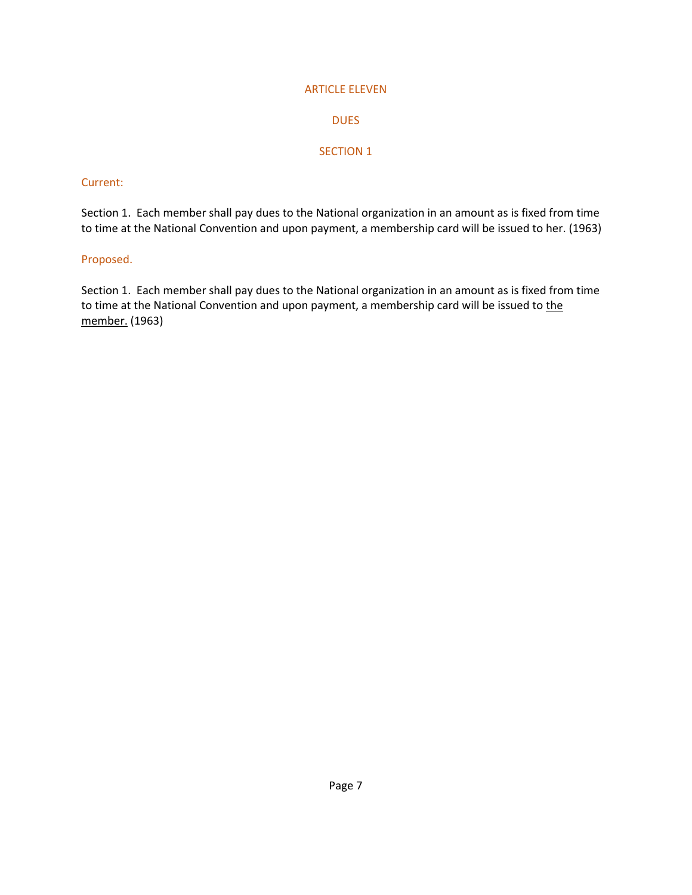#### ARTICLE ELEVEN

# DUES

# SECTION 1

#### Current:

Section 1. Each member shall pay dues to the National organization in an amount as is fixed from time to time at the National Convention and upon payment, a membership card will be issued to her. (1963)

### Proposed.

Section 1. Each member shall pay dues to the National organization in an amount as is fixed from time to time at the National Convention and upon payment, a membership card will be issued to the member. (1963)